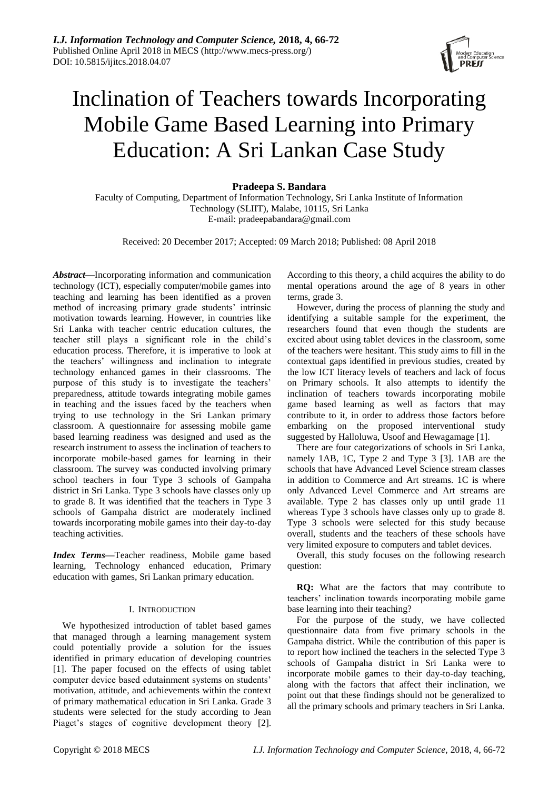

# Inclination of Teachers towards Incorporating Mobile Game Based Learning into Primary Education: A Sri Lankan Case Study

**Pradeepa S. Bandara**

Faculty of Computing, Department of Information Technology, Sri Lanka Institute of Information Technology (SLIIT), Malabe, 10115, Sri Lanka E-mail: pradeepabandara@gmail.com

Received: 20 December 2017; Accepted: 09 March 2018; Published: 08 April 2018

*Abstract***—**Incorporating information and communication technology (ICT), especially computer/mobile games into teaching and learning has been identified as a proven method of increasing primary grade students' intrinsic motivation towards learning. However, in countries like Sri Lanka with teacher centric education cultures, the teacher still plays a significant role in the child's education process. Therefore, it is imperative to look at the teachers' willingness and inclination to integrate technology enhanced games in their classrooms. The purpose of this study is to investigate the teachers' preparedness, attitude towards integrating mobile games in teaching and the issues faced by the teachers when trying to use technology in the Sri Lankan primary classroom. A questionnaire for assessing mobile game based learning readiness was designed and used as the research instrument to assess the inclination of teachers to incorporate mobile-based games for learning in their classroom. The survey was conducted involving primary school teachers in four Type 3 schools of Gampaha district in Sri Lanka. Type 3 schools have classes only up to grade 8. It was identified that the teachers in Type 3 schools of Gampaha district are moderately inclined towards incorporating mobile games into their day-to-day teaching activities.

*Index Terms***—**Teacher readiness, Mobile game based learning, Technology enhanced education, Primary education with games, Sri Lankan primary education.

#### I. INTRODUCTION

We hypothesized introduction of tablet based games that managed through a learning management system could potentially provide a solution for the issues identified in primary education of developing countries [1]. The paper focused on the effects of using tablet computer device based edutainment systems on students' motivation, attitude, and achievements within the context of primary mathematical education in Sri Lanka. Grade 3 students were selected for the study according to Jean Piaget's stages of cognitive development theory [2].

According to this theory, a child acquires the ability to do mental operations around the age of 8 years in other terms, grade 3.

However, during the process of planning the study and identifying a suitable sample for the experiment, the researchers found that even though the students are excited about using tablet devices in the classroom, some of the teachers were hesitant. This study aims to fill in the contextual gaps identified in previous studies, created by the low ICT literacy levels of teachers and lack of focus on Primary schools. It also attempts to identify the inclination of teachers towards incorporating mobile game based learning as well as factors that may contribute to it, in order to address those factors before embarking on the proposed interventional study suggested by Halloluwa, Usoof and Hewagamage [1].

There are four categorizations of schools in Sri Lanka, namely 1AB, 1C, Type 2 and Type 3 [3]. 1AB are the schools that have Advanced Level Science stream classes in addition to Commerce and Art streams. 1C is where only Advanced Level Commerce and Art streams are available. Type 2 has classes only up until grade 11 whereas Type 3 schools have classes only up to grade 8. Type 3 schools were selected for this study because overall, students and the teachers of these schools have very limited exposure to computers and tablet devices.

Overall, this study focuses on the following research question:

**RQ:** What are the factors that may contribute to teachers' inclination towards incorporating mobile game base learning into their teaching?

For the purpose of the study, we have collected questionnaire data from five primary schools in the Gampaha district. While the contribution of this paper is to report how inclined the teachers in the selected Type 3 schools of Gampaha district in Sri Lanka were to incorporate mobile games to their day-to-day teaching, along with the factors that affect their inclination, we point out that these findings should not be generalized to all the primary schools and primary teachers in Sri Lanka.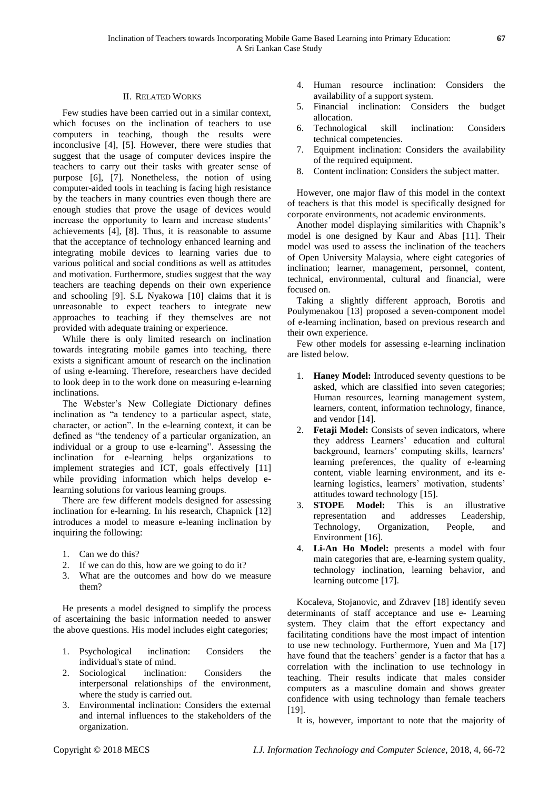# II. RELATED WORKS

Few studies have been carried out in a similar context, which focuses on the inclination of teachers to use computers in teaching, though the results were inconclusive [4], [5]. However, there were studies that suggest that the usage of computer devices inspire the teachers to carry out their tasks with greater sense of purpose [6], [7]. Nonetheless, the notion of using computer-aided tools in teaching is facing high resistance by the teachers in many countries even though there are enough studies that prove the usage of devices would increase the opportunity to learn and increase students' achievements [4], [8]. Thus, it is reasonable to assume that the acceptance of technology enhanced learning and integrating mobile devices to learning varies due to various political and social conditions as well as attitudes and motivation. Furthermore, studies suggest that the way teachers are teaching depends on their own experience and schooling [9]. S.L Nyakowa [10] claims that it is unreasonable to expect teachers to integrate new approaches to teaching if they themselves are not provided with adequate training or experience.

While there is only limited research on inclination towards integrating mobile games into teaching, there exists a significant amount of research on the inclination of using e-learning. Therefore, researchers have decided to look deep in to the work done on measuring e-learning inclinations.

The Webster's New Collegiate Dictionary defines inclination as "a tendency to a particular aspect, state, character, or action". In the e-learning context, it can be defined as "the tendency of a particular organization, an individual or a group to use e-learning". Assessing the inclination for e-learning helps organizations to implement strategies and ICT, goals effectively [11] while providing information which helps develop elearning solutions for various learning groups.

There are few different models designed for assessing inclination for e-learning. In his research, Chapnick [12] introduces a model to measure e-leaning inclination by inquiring the following:

- 1. Can we do this?
- 2. If we can do this, how are we going to do it?
- 3. What are the outcomes and how do we measure them?

He presents a model designed to simplify the process of ascertaining the basic information needed to answer the above questions. His model includes eight categories;

- 1. Psychological inclination: Considers the individual's state of mind.
- 2. Sociological inclination: Considers the interpersonal relationships of the environment, where the study is carried out.
- 3. Environmental inclination: Considers the external and internal influences to the stakeholders of the organization.
- 4. Human resource inclination: Considers the availability of a support system.
- 5. Financial inclination: Considers the budget allocation.
- 6. Technological skill inclination: Considers technical competencies.
- 7. Equipment inclination: Considers the availability of the required equipment.
- 8. Content inclination: Considers the subject matter.

However, one major flaw of this model in the context of teachers is that this model is specifically designed for corporate environments, not academic environments.

Another model displaying similarities with Chapnik's model is one designed by Kaur and Abas [11]. Their model was used to assess the inclination of the teachers of Open University Malaysia, where eight categories of inclination; learner, management, personnel, content, technical, environmental, cultural and financial, were focused on.

Taking a slightly different approach, Borotis and Poulymenakou [13] proposed a seven-component model of e-learning inclination, based on previous research and their own experience.

Few other models for assessing e-learning inclination are listed below.

- 1. **Haney Model:** Introduced seventy questions to be asked, which are classified into seven categories; Human resources, learning management system, learners, content, information technology, finance, and vendor [14].
- 2. **Fetaji Model:** Consists of seven indicators, where they address Learners' education and cultural background, learners' computing skills, learners' learning preferences, the quality of e-learning content, viable learning environment, and its elearning logistics, learners' motivation, students' attitudes toward technology [15].
- 3. **STOPE Model:** This is an illustrative representation and addresses Leadership, Technology, Organization, People, and Environment [16].
- 4. **Li-An Ho Model:** presents a model with four main categories that are, e-learning system quality, technology inclination, learning behavior, and learning outcome [17].

Kocaleva, Stojanovic, and Zdravev [18] identify seven determinants of staff acceptance and use e- Learning system. They claim that the effort expectancy and facilitating conditions have the most impact of intention to use new technology. Furthermore, Yuen and Ma [17] have found that the teachers' gender is a factor that has a correlation with the inclination to use technology in teaching. Their results indicate that males consider computers as a masculine domain and shows greater confidence with using technology than female teachers [19].

It is, however, important to note that the majority of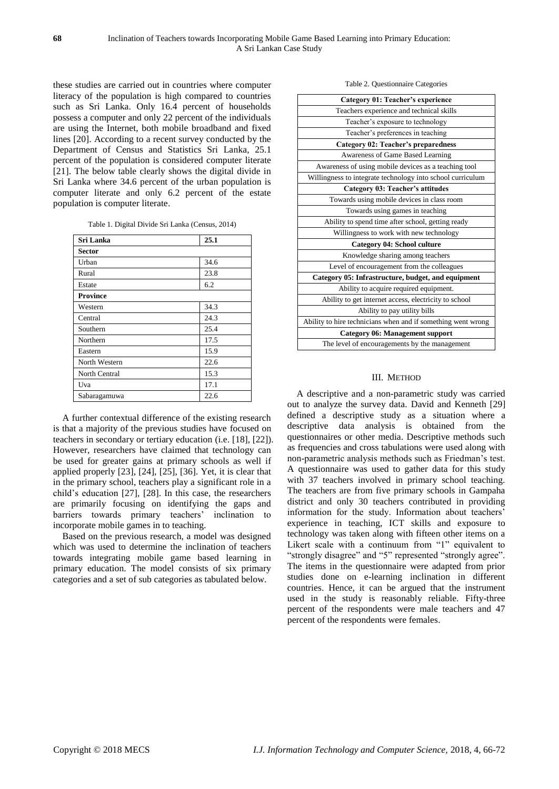these studies are carried out in countries where computer literacy of the population is high compared to countries such as Sri Lanka. Only 16.4 percent of households possess a computer and only 22 percent of the individuals are using the Internet, both mobile broadband and fixed lines [20]. According to a recent survey conducted by the Department of Census and Statistics Sri Lanka, 25.1 percent of the population is considered computer literate [21]. The below table clearly shows the digital divide in Sri Lanka where 34.6 percent of the urban population is computer literate and only 6.2 percent of the estate population is computer literate.

| Table 1. Digital Divide Sri Lanka (Census, 2014) |  |  |  |
|--------------------------------------------------|--|--|--|
|                                                  |  |  |  |

| Sri Lanka       | 25.1 |
|-----------------|------|
| <b>Sector</b>   |      |
| Urban           | 34.6 |
| Rural           | 23.8 |
| Estate          | 6.2  |
| <b>Province</b> |      |
| Western         | 34.3 |
| Central         | 24.3 |
| Southern        | 25.4 |
| Northern        | 17.5 |
| Eastern         | 15.9 |
| North Western   | 22.6 |
| North Central   | 15.3 |
| Uva             | 17.1 |
| Sabaragamuwa    | 22.6 |

A further contextual difference of the existing research is that a majority of the previous studies have focused on teachers in secondary or tertiary education (i.e. [18], [22]). However, researchers have claimed that technology can be used for greater gains at primary schools as well if applied properly [23], [24], [25], [36]. Yet, it is clear that in the primary school, teachers play a significant role in a child's education [27], [28]. In this case, the researchers are primarily focusing on identifying the gaps and barriers towards primary teachers' inclination to incorporate mobile games in to teaching.

Based on the previous research, a model was designed which was used to determine the inclination of teachers towards integrating mobile game based learning in primary education. The model consists of six primary categories and a set of sub categories as tabulated below.

| <b>Category 01: Teacher's experience</b>                     |  |  |  |  |
|--------------------------------------------------------------|--|--|--|--|
| Teachers experience and technical skills                     |  |  |  |  |
| Teacher's exposure to technology                             |  |  |  |  |
| Teacher's preferences in teaching                            |  |  |  |  |
| Category 02: Teacher's preparedness                          |  |  |  |  |
| Awareness of Game Based Learning                             |  |  |  |  |
| Awareness of using mobile devices as a teaching tool         |  |  |  |  |
| Willingness to integrate technology into school curriculum   |  |  |  |  |
| <b>Category 03: Teacher's attitudes</b>                      |  |  |  |  |
| Towards using mobile devices in class room                   |  |  |  |  |
| Towards using games in teaching                              |  |  |  |  |
| Ability to spend time after school, getting ready            |  |  |  |  |
| Willingness to work with new technology                      |  |  |  |  |
| <b>Category 04: School culture</b>                           |  |  |  |  |
| Knowledge sharing among teachers                             |  |  |  |  |
| Level of encouragement from the colleagues                   |  |  |  |  |
| Category 05: Infrastructure, budget, and equipment           |  |  |  |  |
| Ability to acquire required equipment.                       |  |  |  |  |
| Ability to get internet access, electricity to school        |  |  |  |  |
| Ability to pay utility bills                                 |  |  |  |  |
| Ability to hire technicians when and if something went wrong |  |  |  |  |
| <b>Category 06: Management support</b>                       |  |  |  |  |
| The level of encouragements by the management                |  |  |  |  |

# III. METHOD

A descriptive and a non-parametric study was carried out to analyze the survey data. David and Kenneth [29] defined a descriptive study as a situation where a descriptive data analysis is obtained from the questionnaires or other media. Descriptive methods such as frequencies and cross tabulations were used along with non-parametric analysis methods such as Friedman's test. A questionnaire was used to gather data for this study with 37 teachers involved in primary school teaching. The teachers are from five primary schools in Gampaha district and only 30 teachers contributed in providing information for the study. Information about teachers' experience in teaching, ICT skills and exposure to technology was taken along with fifteen other items on a Likert scale with a continuum from "1" equivalent to "strongly disagree" and "5" represented "strongly agree". The items in the questionnaire were adapted from prior studies done on e-learning inclination in different countries. Hence, it can be argued that the instrument used in the study is reasonably reliable. Fifty-three percent of the respondents were male teachers and 47 percent of the respondents were females.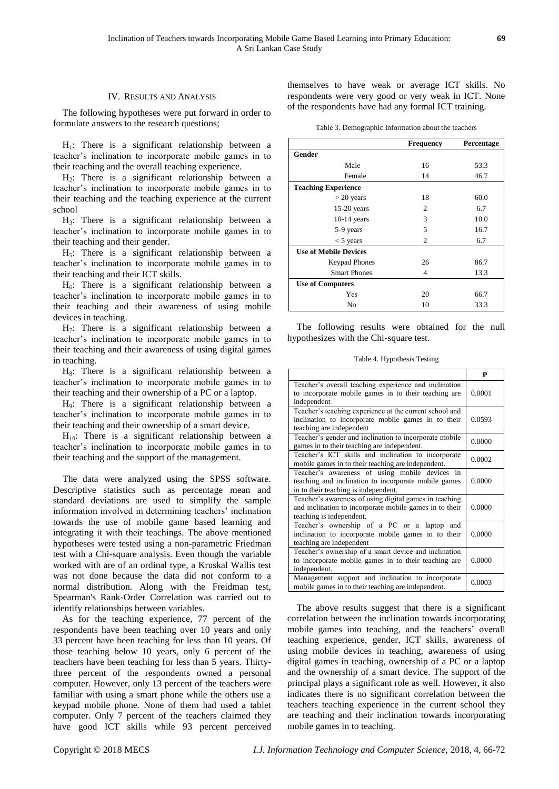#### IV. RESULTS AND ANALYSIS

The following hypotheses were put forward in order to formulate answers to the research questions;

 $H<sub>1</sub>$ : There is a significant relationship between a teacher's inclination to incorporate mobile games in to their teaching and the overall teaching experience.

H2: There is a significant relationship between a teacher's inclination to incorporate mobile games in to their teaching and the teaching experience at the current school

H3: There is a significant relationship between a teacher's inclination to incorporate mobile games in to their teaching and their gender.

 $H<sub>5</sub>$ : There is a significant relationship between a teacher's inclination to incorporate mobile games in to their teaching and their ICT skills.

 $H<sub>6</sub>$ : There is a significant relationship between a teacher's inclination to incorporate mobile games in to their teaching and their awareness of using mobile devices in teaching.

 $H_7$ : There is a significant relationship between a teacher's inclination to incorporate mobile games in to their teaching and their awareness of using digital games in teaching.

 $H_8$ : There is a significant relationship between a teacher's inclination to incorporate mobile games in to their teaching and their ownership of a PC or a laptop.

H9: There is a significant relationship between a teacher's inclination to incorporate mobile games in to their teaching and their ownership of a smart device.

 $H_{10}$ : There is a significant relationship between a teacher's inclination to incorporate mobile games in to their teaching and the support of the management.

The data were analyzed using the SPSS software. Descriptive statistics such as percentage mean and standard deviations are used to simplify the sample information involved in determining teachers' inclination towards the use of mobile game based learning and integrating it with their teachings. The above mentioned hypotheses were tested using a non-parametric Friedman test with a Chi-square analysis. Even though the variable worked with are of an ordinal type, a Kruskal Wallis test was not done because the data did not conform to a normal distribution. Along with the Freidman test, Spearman's Rank-Order Correlation was carried out to identify relationships between variables.

As for the teaching experience, 77 percent of the respondents have been teaching over 10 years and only 33 percent have been teaching for less than 10 years. Of those teaching below 10 years, only 6 percent of the teachers have been teaching for less than 5 years. Thirtythree percent of the respondents owned a personal computer. However, only 13 percent of the teachers were familiar with using a smart phone while the others use a keypad mobile phone. None of them had used a tablet computer. Only 7 percent of the teachers claimed they have good ICT skills while 93 percent perceived

themselves to have weak or average ICT skills. No respondents were very good or very weak in ICT. None of the respondents have had any formal ICT training.

|  | Table 3. Demographic Information about the teachers |  |  |
|--|-----------------------------------------------------|--|--|
|  |                                                     |  |  |

|                              | <b>Frequency</b> | Percentage |
|------------------------------|------------------|------------|
| Gender                       |                  |            |
| Male                         | 16               | 53.3       |
| Female                       | 14               | 46.7       |
| <b>Teaching Experience</b>   |                  |            |
| $>$ 20 years                 | 18               | 60.0       |
| 15-20 years                  | 2                | 6.7        |
| $10-14$ years                | 3                | 10.0       |
| 5-9 years                    | 5                | 16.7       |
| $<$ 5 years                  | 2                | 6.7        |
| <b>Use of Mobile Devices</b> |                  |            |
| <b>Keypad Phones</b>         | 26               | 86.7       |
| <b>Smart Phones</b>          | 4                | 13.3       |
| <b>Use of Computers</b>      |                  |            |
| Yes                          | 20               | 66.7       |
| No                           | 10               | 33.3       |

The following results were obtained for the null hypothesizes with the Chi-square test.

Table 4. Hypothesis Testing

|                                                                                                                                                | P      |
|------------------------------------------------------------------------------------------------------------------------------------------------|--------|
| Teacher's overall teaching experience and inclination<br>to incorporate mobile games in to their teaching are<br>independent                   | 0.0001 |
| Teacher's teaching experience at the current school and<br>inclination to incorporate mobile games in to their<br>teaching are independent     | 0.0593 |
| Teacher's gender and inclination to incorporate mobile<br>games in to their teaching are independent.                                          | 0.0000 |
| Teacher's ICT skills and inclination to incorporate<br>mobile games in to their teaching are independent.                                      | 0.0002 |
| Teacher's awareness of using mobile devices in<br>teaching and inclination to incorporate mobile games<br>in to their teaching is independent. | 0.0000 |
| Teacher's awareness of using digital games in teaching<br>and inclination to incorporate mobile games in to their<br>teaching is independent.  | 0.0000 |
| Teacher's ownership of a PC or a laptop<br>and<br>inclination to incorporate mobile games in to their<br>teaching are independent              | 0.0000 |
| Teacher's ownership of a smart device and inclination<br>to incorporate mobile games in to their teaching are<br>independent.                  | 0.0000 |
| Management support and inclination to incorporate<br>mobile games in to their teaching are independent.                                        | 0.0003 |

The above results suggest that there is a significant correlation between the inclination towards incorporating mobile games into teaching, and the teachers' overall teaching experience, gender, ICT skills, awareness of using mobile devices in teaching, awareness of using digital games in teaching, ownership of a PC or a laptop and the ownership of a smart device. The support of the principal plays a significant role as well. However, it also indicates there is no significant correlation between the teachers teaching experience in the current school they are teaching and their inclination towards incorporating mobile games in to teaching.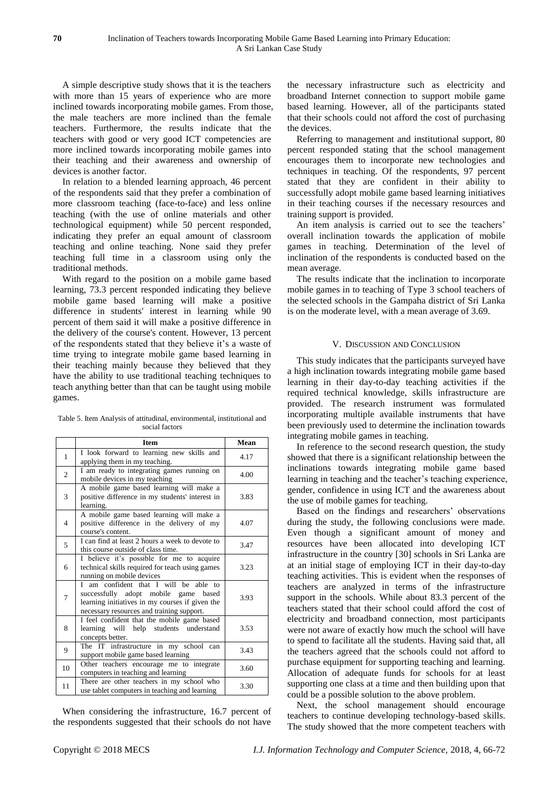A simple descriptive study shows that it is the teachers with more than 15 years of experience who are more inclined towards incorporating mobile games. From those, the male teachers are more inclined than the female teachers. Furthermore, the results indicate that the teachers with good or very good ICT competencies are more inclined towards incorporating mobile games into their teaching and their awareness and ownership of devices is another factor.

In relation to a blended learning approach, 46 percent of the respondents said that they prefer a combination of more classroom teaching (face-to-face) and less online teaching (with the use of online materials and other technological equipment) while 50 percent responded, indicating they prefer an equal amount of classroom teaching and online teaching. None said they prefer teaching full time in a classroom using only the traditional methods.

With regard to the position on a mobile game based learning, 73.3 percent responded indicating they believe mobile game based learning will make a positive difference in students' interest in learning while 90 percent of them said it will make a positive difference in the delivery of the course's content. However, 13 percent of the respondents stated that they believe it's a waste of time trying to integrate mobile game based learning in their teaching mainly because they believed that they have the ability to use traditional teaching techniques to teach anything better than that can be taught using mobile games.

Table 5. Item Analysis of attitudinal, environmental, institutional and social factors

|    | <b>Item</b>                                                                                                                                                                   | Mean |
|----|-------------------------------------------------------------------------------------------------------------------------------------------------------------------------------|------|
| 1  | I look forward to learning new skills and<br>applying them in my teaching.                                                                                                    | 4.17 |
| 2  | I am ready to integrating games running on<br>mobile devices in my teaching                                                                                                   | 4.00 |
| 3  | A mobile game based learning will make a<br>positive difference in my students' interest in<br>learning.                                                                      | 3.83 |
| 4  | A mobile game based learning will make a<br>positive difference in the delivery of my<br>course's content.                                                                    | 4.07 |
| 5  | I can find at least 2 hours a week to devote to<br>this course outside of class time.                                                                                         | 3.47 |
| 6  | I believe it's possible for me to acquire<br>technical skills required for teach using games<br>running on mobile devices                                                     | 3.23 |
| 7  | I am confident that I will be able to<br>successfully adopt mobile game based<br>learning initiatives in my courses if given the<br>necessary resources and training support. | 3.93 |
| 8  | I feel confident that the mobile game based<br>learning will help students understand<br>concepts better.                                                                     | 3.53 |
| 9  | The IT infrastructure in my school can<br>support mobile game based learning                                                                                                  | 3.43 |
| 10 | Other teachers encourage me to integrate<br>computers in teaching and learning                                                                                                | 3.60 |
| 11 | There are other teachers in my school who<br>use tablet computers in teaching and learning                                                                                    | 3.30 |

When considering the infrastructure, 16.7 percent of the respondents suggested that their schools do not have the necessary infrastructure such as electricity and broadband Internet connection to support mobile game based learning. However, all of the participants stated that their schools could not afford the cost of purchasing the devices.

Referring to management and institutional support, 80 percent responded stating that the school management encourages them to incorporate new technologies and techniques in teaching. Of the respondents, 97 percent stated that they are confident in their ability to successfully adopt mobile game based learning initiatives in their teaching courses if the necessary resources and training support is provided.

An item analysis is carried out to see the teachers' overall inclination towards the application of mobile games in teaching. Determination of the level of inclination of the respondents is conducted based on the mean average.

The results indicate that the inclination to incorporate mobile games in to teaching of Type 3 school teachers of the selected schools in the Gampaha district of Sri Lanka is on the moderate level, with a mean average of 3.69.

# V. DISCUSSION AND CONCLUSION

This study indicates that the participants surveyed have a high inclination towards integrating mobile game based learning in their day-to-day teaching activities if the required technical knowledge, skills infrastructure are provided. The research instrument was formulated incorporating multiple available instruments that have been previously used to determine the inclination towards integrating mobile games in teaching.

In reference to the second research question, the study showed that there is a significant relationship between the inclinations towards integrating mobile game based learning in teaching and the teacher's teaching experience, gender, confidence in using ICT and the awareness about the use of mobile games for teaching.

Based on the findings and researchers' observations during the study, the following conclusions were made. Even though a significant amount of money and resources have been allocated into developing ICT infrastructure in the country [30] schools in Sri Lanka are at an initial stage of employing ICT in their day-to-day teaching activities. This is evident when the responses of teachers are analyzed in terms of the infrastructure support in the schools. While about 83.3 percent of the teachers stated that their school could afford the cost of electricity and broadband connection, most participants were not aware of exactly how much the school will have to spend to facilitate all the students. Having said that, all the teachers agreed that the schools could not afford to purchase equipment for supporting teaching and learning. Allocation of adequate funds for schools for at least supporting one class at a time and then building upon that could be a possible solution to the above problem.

Next, the school management should encourage teachers to continue developing technology-based skills. The study showed that the more competent teachers with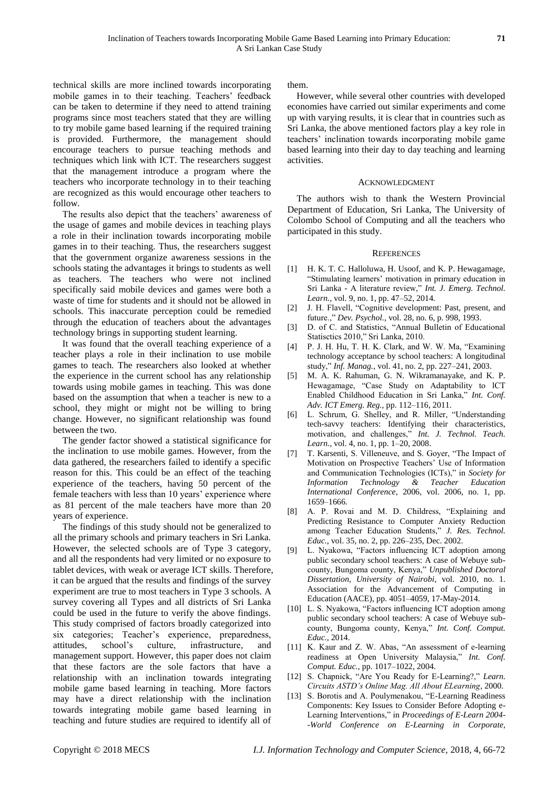technical skills are more inclined towards incorporating mobile games in to their teaching. Teachers' feedback can be taken to determine if they need to attend training programs since most teachers stated that they are willing to try mobile game based learning if the required training is provided. Furthermore, the management should encourage teachers to pursue teaching methods and techniques which link with ICT. The researchers suggest that the management introduce a program where the teachers who incorporate technology in to their teaching are recognized as this would encourage other teachers to follow.

The results also depict that the teachers' awareness of the usage of games and mobile devices in teaching plays a role in their inclination towards incorporating mobile games in to their teaching. Thus, the researchers suggest that the government organize awareness sessions in the schools stating the advantages it brings to students as well as teachers. The teachers who were not inclined specifically said mobile devices and games were both a waste of time for students and it should not be allowed in schools. This inaccurate perception could be remedied through the education of teachers about the advantages technology brings in supporting student learning.

It was found that the overall teaching experience of a teacher plays a role in their inclination to use mobile games to teach. The researchers also looked at whether the experience in the current school has any relationship towards using mobile games in teaching. This was done based on the assumption that when a teacher is new to a school, they might or might not be willing to bring change. However, no significant relationship was found between the two.

The gender factor showed a statistical significance for the inclination to use mobile games. However, from the data gathered, the researchers failed to identify a specific reason for this. This could be an effect of the teaching experience of the teachers, having 50 percent of the female teachers with less than 10 years' experience where as 81 percent of the male teachers have more than 20 years of experience.

The findings of this study should not be generalized to all the primary schools and primary teachers in Sri Lanka. However, the selected schools are of Type 3 category, and all the respondents had very limited or no exposure to tablet devices, with weak or average ICT skills. Therefore, it can be argued that the results and findings of the survey experiment are true to most teachers in Type 3 schools. A survey covering all Types and all districts of Sri Lanka could be used in the future to verify the above findings. This study comprised of factors broadly categorized into six categories; Teacher's experience, preparedness, attitudes, school's culture, infrastructure, and management support. However, this paper does not claim that these factors are the sole factors that have a relationship with an inclination towards integrating mobile game based learning in teaching. More factors may have a direct relationship with the inclination towards integrating mobile game based learning in teaching and future studies are required to identify all of

them.

However, while several other countries with developed economies have carried out similar experiments and come up with varying results, it is clear that in countries such as Sri Lanka, the above mentioned factors play a key role in teachers' inclination towards incorporating mobile game based learning into their day to day teaching and learning activities.

#### ACKNOWLEDGMENT

The authors wish to thank the Western Provincial Department of Education, Sri Lanka, The University of Colombo School of Computing and all the teachers who participated in this study.

# **REFERENCES**

- [1] H. K. T. C. Halloluwa, H. Usoof, and K. P. Hewagamage, "Stimulating learners' motivation in primary education in Sri Lanka - A literature review," *Int. J. Emerg. Technol. Learn.*, vol. 9, no. 1, pp. 47–52, 2014.
- [2] J. H. Flavell, "Cognitive development: Past, present, and future.," *Dev. Psychol.*, vol. 28, no. 6, p. 998, 1993.
- [3] D. of C. and Statistics, "Annual Bulletin of Educational Statisctics 2010," Sri Lanka, 2010.
- [4] P. J. H. Hu, T. H. K. Clark, and W. W. Ma, "Examining technology acceptance by school teachers: A longitudinal study," *Inf. Manag.*, vol. 41, no. 2, pp. 227–241, 2003.
- [5] M. A. K. Rahuman, G. N. Wikramanayake, and K. P. Hewagamage, "Case Study on Adaptability to lCT Enabled Childhood Education in Sri Lanka," *Int. Conf. Adv. ICT Emerg. Reg.*, pp. 112–116, 2011.
- [6] L. Schrum, G. Shelley, and R. Miller, "Understanding tech-savvy teachers: Identifying their characteristics, motivation, and challenges," *Int. J. Technol. Teach. Learn.*, vol. 4, no. 1, pp. 1–20, 2008.
- [7] T. Karsenti, S. Villeneuve, and S. Goyer, "The Impact of Motivation on Prospective Teachers' Use of Information and Communication Technologies (ICTs)," in *Society for Information Technology & Teacher Education International Conference*, 2006, vol. 2006, no. 1, pp. 1659–1666.
- [8] A. P. Rovai and M. D. Childress, "Explaining and Predicting Resistance to Computer Anxiety Reduction among Teacher Education Students," *J. Res. Technol. Educ.*, vol. 35, no. 2, pp. 226–235, Dec. 2002.
- [9] L. Nyakowa, "Factors influencing ICT adoption among public secondary school teachers: A case of Webuye subcounty, Bungoma county, Kenya," *Unpublished Doctoral Dissertation, University of Nairobi*, vol. 2010, no. 1. Association for the Advancement of Computing in Education (AACE), pp. 4051–4059, 17-May-2014.
- [10] L. S. Nyakowa, "Factors influencing ICT adoption among public secondary school teachers: A case of Webuye subcounty, Bungoma county, Kenya," *Int. Conf. Comput. Educ.*, 2014.
- [11] K. Kaur and Z. W. Abas, "An assessment of e-learning readiness at Open University Malaysia," *Int. Conf. Comput. Educ.*, pp. 1017–1022, 2004.
- [12] S. Chapnick, "Are You Ready for E-Learning?," *Learn. Circuits ASTD's Online Mag. All About ELearning*, 2000.
- [13] S. Borotis and A. Poulymenakou, "E-Learning Readiness" Components: Key Issues to Consider Before Adopting e-Learning Interventions," in *Proceedings of E-Learn 2004- -World Conference on E-Learning in Corporate,*